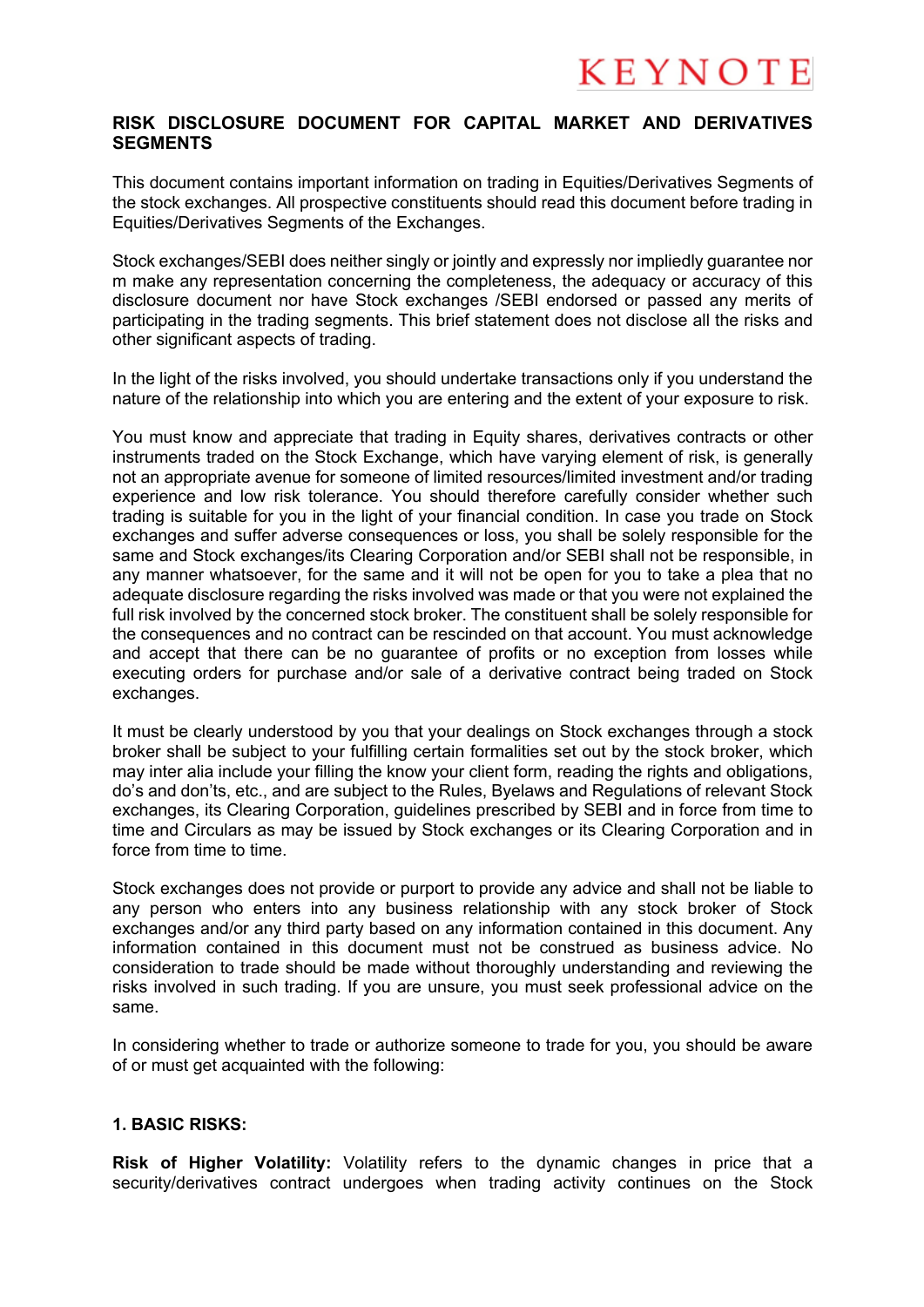## **RISK DISCLOSURE DOCUMENT FOR CAPITAL MARKET AND DERIVATIVES SEGMENTS**

This document contains important information on trading in Equities/Derivatives Segments of the stock exchanges. All prospective constituents should read this document before trading in Equities/Derivatives Segments of the Exchanges.

Stock exchanges/SEBI does neither singly or jointly and expressly nor impliedly guarantee nor m make any representation concerning the completeness, the adequacy or accuracy of this disclosure document nor have Stock exchanges /SEBI endorsed or passed any merits of participating in the trading segments. This brief statement does not disclose all the risks and other significant aspects of trading.

In the light of the risks involved, you should undertake transactions only if you understand the nature of the relationship into which you are entering and the extent of your exposure to risk.

You must know and appreciate that trading in Equity shares, derivatives contracts or other instruments traded on the Stock Exchange, which have varying element of risk, is generally not an appropriate avenue for someone of limited resources/limited investment and/or trading experience and low risk tolerance. You should therefore carefully consider whether such trading is suitable for you in the light of your financial condition. In case you trade on Stock exchanges and suffer adverse consequences or loss, you shall be solely responsible for the same and Stock exchanges/its Clearing Corporation and/or SEBI shall not be responsible, in any manner whatsoever, for the same and it will not be open for you to take a plea that no adequate disclosure regarding the risks involved was made or that you were not explained the full risk involved by the concerned stock broker. The constituent shall be solely responsible for the consequences and no contract can be rescinded on that account. You must acknowledge and accept that there can be no guarantee of profits or no exception from losses while executing orders for purchase and/or sale of a derivative contract being traded on Stock exchanges.

It must be clearly understood by you that your dealings on Stock exchanges through a stock broker shall be subject to your fulfilling certain formalities set out by the stock broker, which may inter alia include your filling the know your client form, reading the rights and obligations, do's and don'ts, etc., and are subject to the Rules, Byelaws and Regulations of relevant Stock exchanges, its Clearing Corporation, guidelines prescribed by SEBI and in force from time to time and Circulars as may be issued by Stock exchanges or its Clearing Corporation and in force from time to time.

Stock exchanges does not provide or purport to provide any advice and shall not be liable to any person who enters into any business relationship with any stock broker of Stock exchanges and/or any third party based on any information contained in this document. Any information contained in this document must not be construed as business advice. No consideration to trade should be made without thoroughly understanding and reviewing the risks involved in such trading. If you are unsure, you must seek professional advice on the same.

In considering whether to trade or authorize someone to trade for you, you should be aware of or must get acquainted with the following:

### **1. BASIC RISKS:**

**Risk of Higher Volatility:** Volatility refers to the dynamic changes in price that a security/derivatives contract undergoes when trading activity continues on the Stock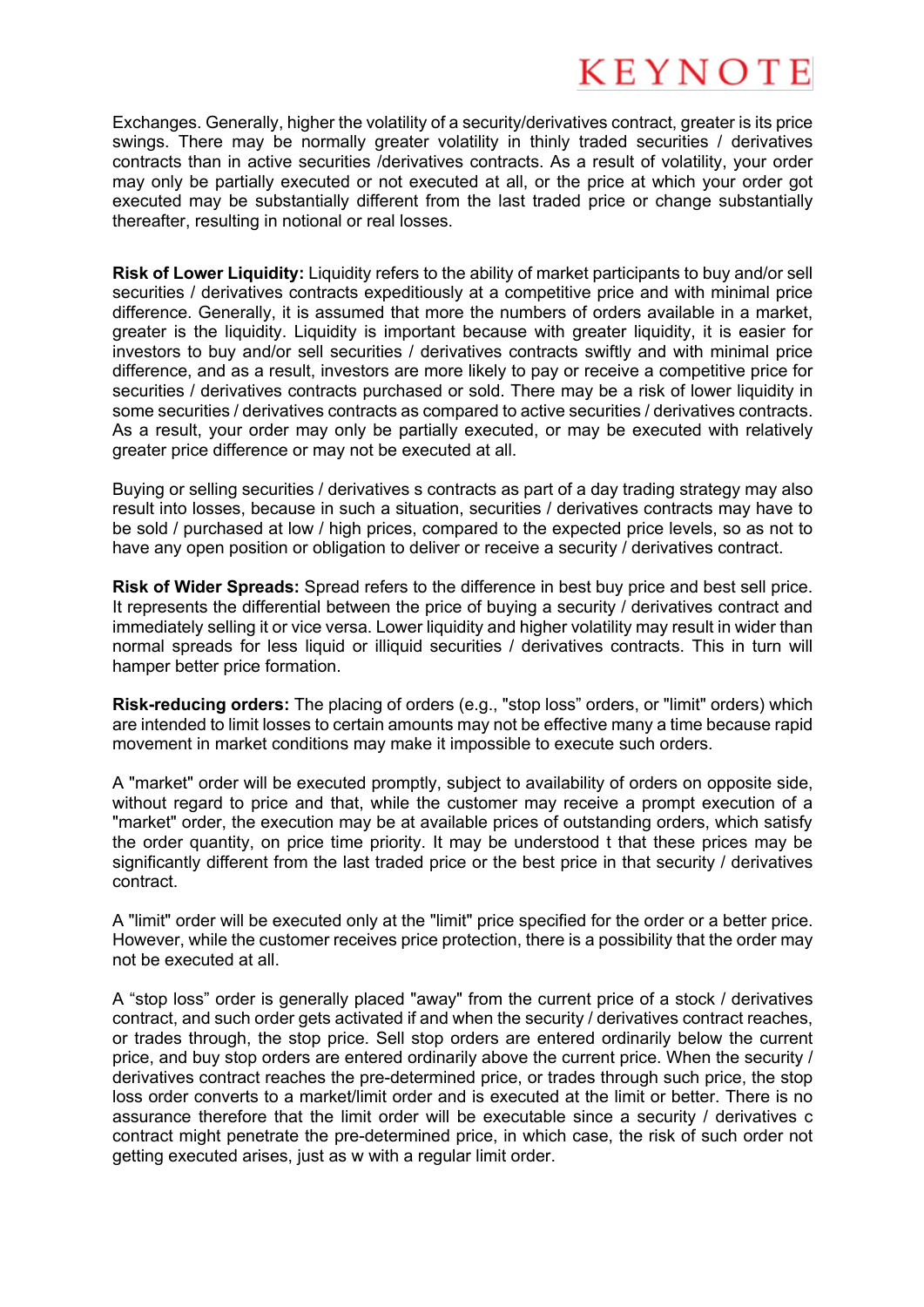Exchanges. Generally, higher the volatility of a security/derivatives contract, greater is its price swings. There may be normally greater volatility in thinly traded securities / derivatives contracts than in active securities /derivatives contracts. As a result of volatility, your order may only be partially executed or not executed at all, or the price at which your order got executed may be substantially different from the last traded price or change substantially thereafter, resulting in notional or real losses.

**Risk of Lower Liquidity:** Liquidity refers to the ability of market participants to buy and/or sell securities / derivatives contracts expeditiously at a competitive price and with minimal price difference. Generally, it is assumed that more the numbers of orders available in a market, greater is the liquidity. Liquidity is important because with greater liquidity, it is easier for investors to buy and/or sell securities / derivatives contracts swiftly and with minimal price difference, and as a result, investors are more likely to pay or receive a competitive price for securities / derivatives contracts purchased or sold. There may be a risk of lower liquidity in some securities / derivatives contracts as compared to active securities / derivatives contracts. As a result, your order may only be partially executed, or may be executed with relatively greater price difference or may not be executed at all.

Buying or selling securities / derivatives s contracts as part of a day trading strategy may also result into losses, because in such a situation, securities / derivatives contracts may have to be sold / purchased at low / high prices, compared to the expected price levels, so as not to have any open position or obligation to deliver or receive a security / derivatives contract.

**Risk of Wider Spreads:** Spread refers to the difference in best buy price and best sell price. It represents the differential between the price of buying a security / derivatives contract and immediately selling it or vice versa. Lower liquidity and higher volatility may result in wider than normal spreads for less liquid or illiquid securities / derivatives contracts. This in turn will hamper better price formation.

**Risk-reducing orders:** The placing of orders (e.g., "stop loss" orders, or "limit" orders) which are intended to limit losses to certain amounts may not be effective many a time because rapid movement in market conditions may make it impossible to execute such orders.

A "market" order will be executed promptly, subject to availability of orders on opposite side, without regard to price and that, while the customer may receive a prompt execution of a "market" order, the execution may be at available prices of outstanding orders, which satisfy the order quantity, on price time priority. It may be understood t that these prices may be significantly different from the last traded price or the best price in that security / derivatives contract.

A "limit" order will be executed only at the "limit" price specified for the order or a better price. However, while the customer receives price protection, there is a possibility that the order may not be executed at all.

A "stop loss" order is generally placed "away" from the current price of a stock / derivatives contract, and such order gets activated if and when the security / derivatives contract reaches, or trades through, the stop price. Sell stop orders are entered ordinarily below the current price, and buy stop orders are entered ordinarily above the current price. When the security / derivatives contract reaches the pre-determined price, or trades through such price, the stop loss order converts to a market/limit order and is executed at the limit or better. There is no assurance therefore that the limit order will be executable since a security / derivatives c contract might penetrate the pre-determined price, in which case, the risk of such order not getting executed arises, just as w with a regular limit order.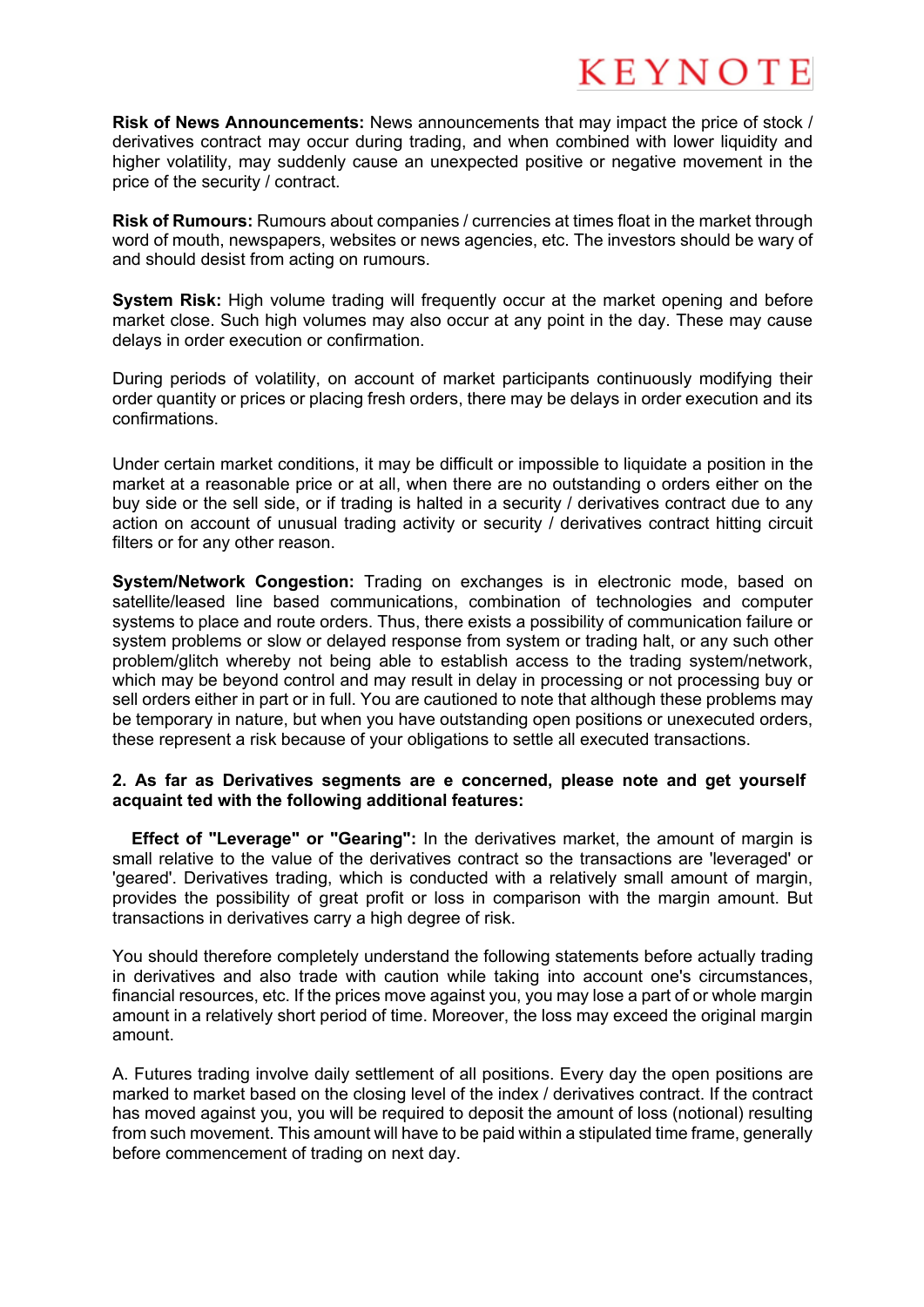**Risk of News Announcements:** News announcements that may impact the price of stock / derivatives contract may occur during trading, and when combined with lower liquidity and higher volatility, may suddenly cause an unexpected positive or negative movement in the price of the security / contract.

**Risk of Rumours:** Rumours about companies / currencies at times float in the market through word of mouth, newspapers, websites or news agencies, etc. The investors should be wary of and should desist from acting on rumours.

**System Risk:** High volume trading will frequently occur at the market opening and before market close. Such high volumes may also occur at any point in the day. These may cause delays in order execution or confirmation.

During periods of volatility, on account of market participants continuously modifying their order quantity or prices or placing fresh orders, there may be delays in order execution and its confirmations.

Under certain market conditions, it may be difficult or impossible to liquidate a position in the market at a reasonable price or at all, when there are no outstanding o orders either on the buy side or the sell side, or if trading is halted in a security / derivatives contract due to any action on account of unusual trading activity or security / derivatives contract hitting circuit filters or for any other reason.

**System/Network Congestion:** Trading on exchanges is in electronic mode, based on satellite/leased line based communications, combination of technologies and computer systems to place and route orders. Thus, there exists a possibility of communication failure or system problems or slow or delayed response from system or trading halt, or any such other problem/glitch whereby not being able to establish access to the trading system/network, which may be beyond control and may result in delay in processing or not processing buy or sell orders either in part or in full. You are cautioned to note that although these problems may be temporary in nature, but when you have outstanding open positions or unexecuted orders, these represent a risk because of your obligations to settle all executed transactions.

### **2. As far as Derivatives segments are e concerned, please note and get yourself acquaint ted with the following additional features:**

**Effect of "Leverage" or "Gearing":** In the derivatives market, the amount of margin is small relative to the value of the derivatives contract so the transactions are 'leveraged' or 'geared'. Derivatives trading, which is conducted with a relatively small amount of margin, provides the possibility of great profit or loss in comparison with the margin amount. But transactions in derivatives carry a high degree of risk.

You should therefore completely understand the following statements before actually trading in derivatives and also trade with caution while taking into account one's circumstances, financial resources, etc. If the prices move against you, you may lose a part of or whole margin amount in a relatively short period of time. Moreover, the loss may exceed the original margin amount.

A. Futures trading involve daily settlement of all positions. Every day the open positions are marked to market based on the closing level of the index / derivatives contract. If the contract has moved against you, you will be required to deposit the amount of loss (notional) resulting from such movement. This amount will have to be paid within a stipulated time frame, generally before commencement of trading on next day.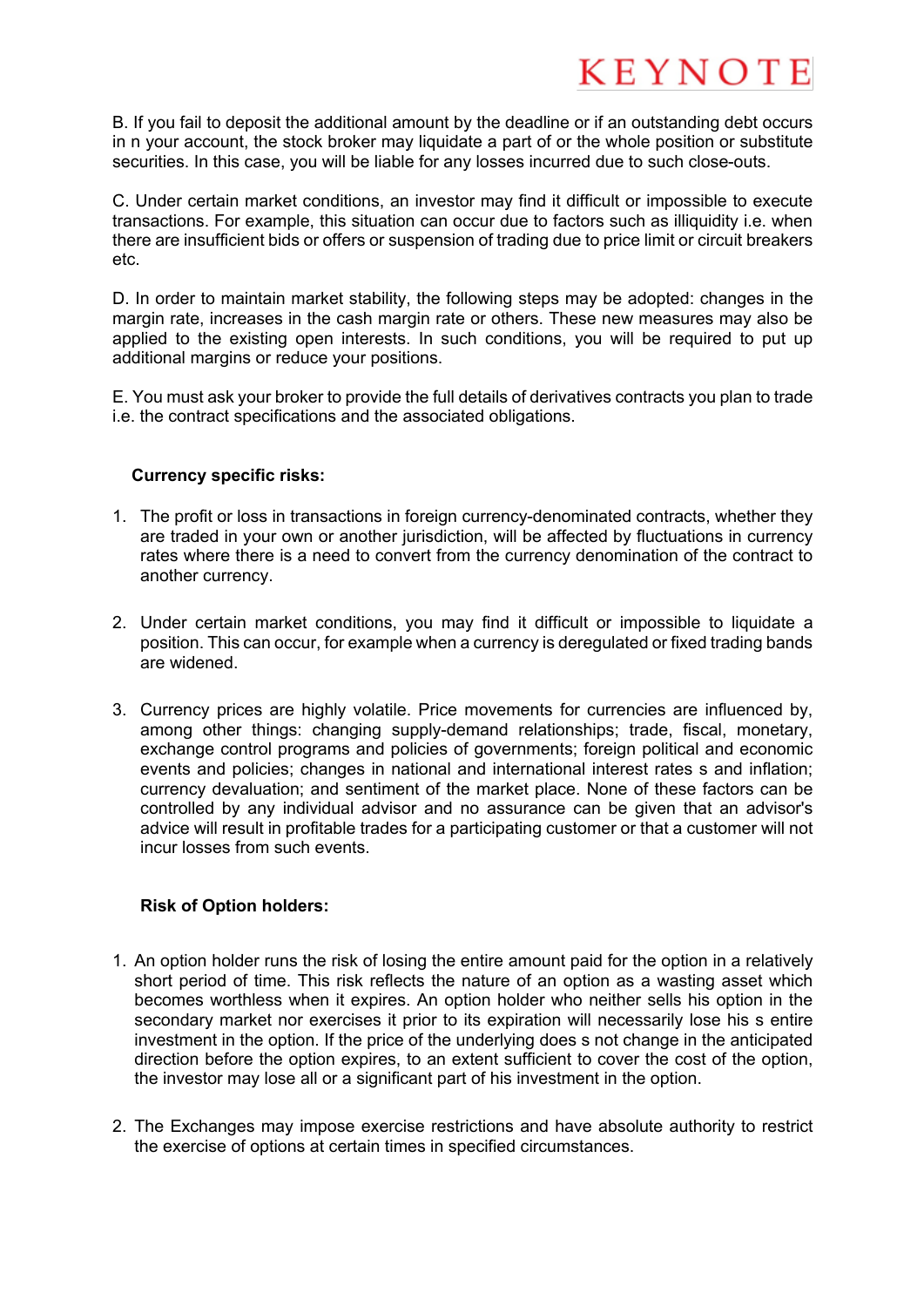B. If you fail to deposit the additional amount by the deadline or if an outstanding debt occurs in n your account, the stock broker may liquidate a part of or the whole position or substitute securities. In this case, you will be liable for any losses incurred due to such close-outs.

C. Under certain market conditions, an investor may find it difficult or impossible to execute transactions. For example, this situation can occur due to factors such as illiquidity i.e. when there are insufficient bids or offers or suspension of trading due to price limit or circuit breakers etc.

D. In order to maintain market stability, the following steps may be adopted: changes in the margin rate, increases in the cash margin rate or others. These new measures may also be applied to the existing open interests. In such conditions, you will be required to put up additional margins or reduce your positions.

E. You must ask your broker to provide the full details of derivatives contracts you plan to trade i.e. the contract specifications and the associated obligations.

### **Currency specific risks:**

- 1. The profit or loss in transactions in foreign currency-denominated contracts, whether they are traded in your own or another jurisdiction, will be affected by fluctuations in currency rates where there is a need to convert from the currency denomination of the contract to another currency.
- 2. Under certain market conditions, you may find it difficult or impossible to liquidate a position. This can occur, for example when a currency is deregulated or fixed trading bands are widened.
- 3. Currency prices are highly volatile. Price movements for currencies are influenced by, among other things: changing supply-demand relationships; trade, fiscal, monetary, exchange control programs and policies of governments; foreign political and economic events and policies; changes in national and international interest rates s and inflation; currency devaluation; and sentiment of the market place. None of these factors can be controlled by any individual advisor and no assurance can be given that an advisor's advice will result in profitable trades for a participating customer or that a customer will not incur losses from such events.

### **Risk of Option holders:**

- 1. An option holder runs the risk of losing the entire amount paid for the option in a relatively short period of time. This risk reflects the nature of an option as a wasting asset which becomes worthless when it expires. An option holder who neither sells his option in the secondary market nor exercises it prior to its expiration will necessarily lose his s entire investment in the option. If the price of the underlying does s not change in the anticipated direction before the option expires, to an extent sufficient to cover the cost of the option, the investor may lose all or a significant part of his investment in the option.
- 2. The Exchanges may impose exercise restrictions and have absolute authority to restrict the exercise of options at certain times in specified circumstances.